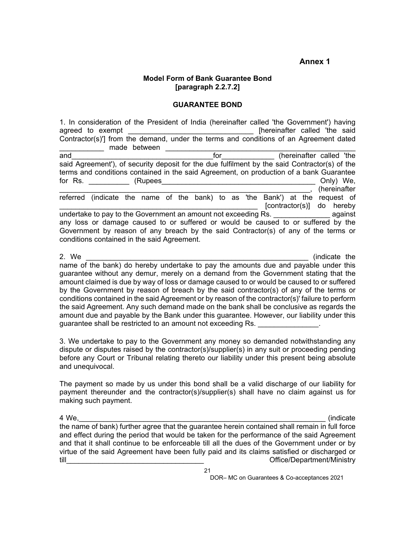## **Annex 1**

## **Model Form of Bank Guarantee Bond [paragraph 2.2.7.2]**

## **GUARANTEE BOND**

1. In consideration of the President of India (hereinafter called 'the Government') having agreed to exempt **agreed** to exempt **agreed** to exempt Contractor(s)'] from the demand, under the terms and conditions of an Agreement dated \_\_\_\_\_\_\_\_\_\_\_ made between \_\_\_\_\_\_\_\_\_\_\_\_\_\_\_\_\_\_\_\_\_\_\_\_\_\_\_\_\_\_\_\_\_\_\_\_\_\_\_\_\_\_\_\_\_\_\_  $\Box$  (hereinafter called 'the said Agreement'), of security deposit for the due fulfilment by the said Contractor(s) of the terms and conditions contained in the said Agreement, on production of a bank Guarantee for Rs. The contract (Rupees and the contract of the contract of the contract of the contract of the contract of the contract of the contract of the contract of the contract of the contract of the contract of the contract \_\_\_\_\_\_\_\_\_\_\_\_\_\_\_\_\_\_\_\_\_\_\_\_\_\_\_\_\_\_\_\_\_\_\_\_\_\_\_\_\_\_\_\_\_\_\_\_\_\_\_\_\_\_\_\_\_\_\_\_\_\_, (hereinafter referred (indicate the name of the bank) to as 'the Bank') at the request of  $[contractor(s)]$  do hereby undertake to pay to the Government an amount not exceeding Rs. **Example 19** against any loss or damage caused to or suffered or would be caused to or suffered by the Government by reason of any breach by the said Contractor(s) of any of the terms or conditions contained in the said Agreement.

2. We are the set of the set of the set of the set of the set of the set of the set of the set of the set of the set of the set of the set of the set of the set of the set of the set of the set of the set of the set of the name of the bank) do hereby undertake to pay the amounts due and payable under this guarantee without any demur, merely on a demand from the Government stating that the amount claimed is due by way of loss or damage caused to or would be caused to or suffered by the Government by reason of breach by the said contractor(s) of any of the terms or conditions contained in the said Agreement or by reason of the contractor(s)' failure to perform the said Agreement. Any such demand made on the bank shall be conclusive as regards the amount due and payable by the Bank under this guarantee. However, our liability under this guarantee shall be restricted to an amount not exceeding Rs.

3. We undertake to pay to the Government any money so demanded notwithstanding any dispute or disputes raised by the contractor(s)/supplier(s) in any suit or proceeding pending before any Court or Tribunal relating thereto our liability under this present being absolute and unequivocal.

The payment so made by us under this bond shall be a valid discharge of our liability for payment thereunder and the contractor(s)/supplier(s) shall have no claim against us for making such payment.

4 We,\_\_\_\_\_\_\_\_\_\_\_\_\_\_\_\_\_\_\_\_\_\_\_\_\_\_\_\_\_\_\_\_\_\_\_\_\_\_\_\_\_\_\_\_\_\_\_\_\_\_\_\_\_\_\_\_\_\_\_\_\_ (indicate the name of bank) further agree that the guarantee herein contained shall remain in full force and effect during the period that would be taken for the performance of the said Agreement and that it shall continue to be enforceable till all the dues of the Government under or by virtue of the said Agreement have been fully paid and its claims satisfied or discharged or till till till the contract of the contract of the contract of the Contract of Contract of the Contract of the Contract of the Contract of the Contract of the Contract of the Contract of the Contract of the Contract of the

DOR– MC on Guarantees & Co-acceptances 2021